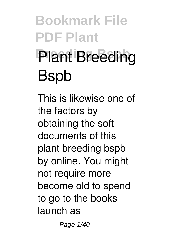# **Bookmark File PDF Plant Plant Breeding Bspb**

This is likewise one of the factors by obtaining the soft documents of this **plant breeding bspb** by online. You might not require more become old to spend to go to the books launch as

Page 1/40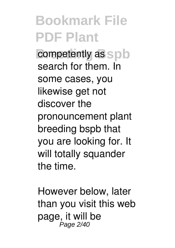**b** competently as spb search for them. In some cases, you likewise get not discover the pronouncement plant breeding bspb that you are looking for. It will totally squander the time.

However below, later than you visit this web page, it will be Page 2/40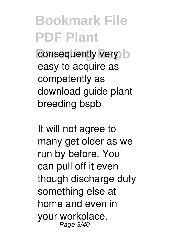**Breeding Breeding Breeding Street Street Street Street Street Street Street Street Street Street Street Street Street Street Street Street Street Street Street Street Street Street Street Street Street Street Street Stree** easy to acquire as competently as download guide plant breeding bspb

It will not agree to many get older as we run by before. You can pull off it even though discharge duty something else at home and even in your workplace. Page 3/4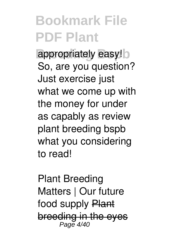appropriately easy! So, are you question? Just exercise just what we come up with the money for under as capably as review **plant breeding bspb** what you considering to read!

*Plant Breeding Matters | Our future* food supply Plant breeding in the eyes Page 4/40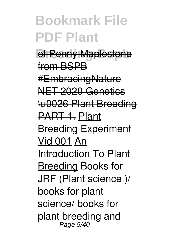*Af Penny Mapleston* from BSDR #EmbracingNature NET 2020 Genetics \u0026 Plant Breeding PART 1. Plant **Breeding Experiment** Vid 001 An Introduction To Plant Breeding **Books for JRF (Plant science )/ books for plant science/ books for plant breeding and** Page 5/40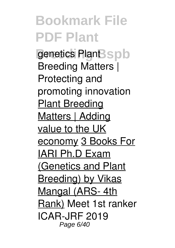**Breeding Bspb genetics** *Plant Breeding Matters | Protecting and promoting innovation* Plant Breeding Matters | Adding value to the UK economy 3 Books For IARI Ph.D Exam (Genetics and Plant Breeding) by Vikas Mangal (ARS- 4th Rank) **Meet 1st ranker ICAR-JRF 2019** Page 6/40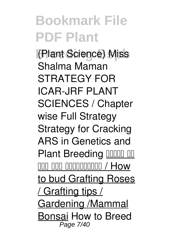**Breeding Bspb (Plant Science) Miss Shalma Maman** *STRATEGY FOR ICAR-JRF PLANT SCIENCES / Chapter wise Full Strategy* **Strategy for Cracking ARS in Genetics and Plant Breeding <b>Plant** of  $\mathsf{nnn}$  nnnnnnnn $\mathsf{nnn}$  / How to bud Grafting Roses / Grafting tips / Gardening /Mammal Bonsai *How to Breed* Page 7/40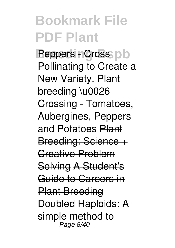**Peppers - Cross** pb *Pollinating to Create a New Variety. Plant breeding \u0026 Crossing - Tomatoes, Aubergines, Peppers and Potatoes* Plant Breeding: Science + Creative Problem Solving A Student's Guide to Careers in Plant Breeding Doubled Haploids: A simple method to Page 8/40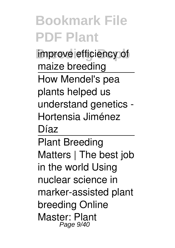**improve efficiency of** maize breeding How Mendel's pea plants helped us understand genetics - Hortensia Jiménez Díaz

Plant Breeding Matters | The best job in the world Using nuclear science in marker-assisted plant breeding Online Master: Plant Page 9/40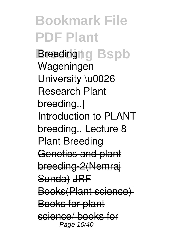**Bookmark File PDF Plant Breeding to Bspb** Wageningen University \u0026 Research Plant breeding..| Introduction to PLANT breeding.. Lecture 8 Plant Breeding Genetics and plant breeding-2(Nemraj Sunda) JRF Books(Plant science)| Books for plant science/ books for Page 10/40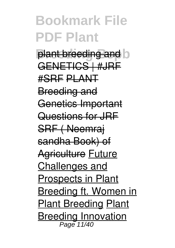**plant breeding and b** GENETICS | #JRF #SRF PLANT Breeding and Genetics Important Questions for JRF SRF ( Neemraj sandha Book) of **Agriculture Future** Challenges and Prospects in Plant Breeding ft. Women in Plant Breeding Plant Breeding Innovation Page 11/40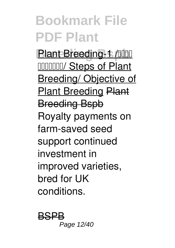**Plant Breeding-1 /Juliu** प्रजननं/ Steps of Plant Breeding/ Objective of Plant Breeding Plant Breeding Bspb Royalty payments on farm-saved seed support continued investment in improved varieties, bred for UK conditions.

BSPB Page 12/40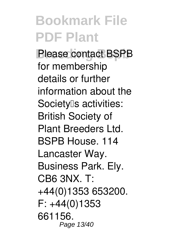**Please contact BSPB** for membership details or further information about the Society<sup>[s activities: 31</sup> British Society of Plant Breeders Ltd. BSPB House. 114 Lancaster Way. Business Park. Ely. CB6 3NX. T: +44(0)1353 653200. F: +44(0)1353 661156. Page 13/40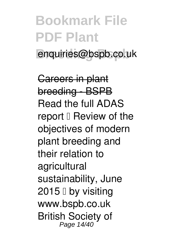### **Bookmark File PDF Plant Breeding Bspb** enquiries@bspb.co.uk

Careers in plant breeding - BSPB Read the full ADAS report  $\mathbb I$  Review of the objectives of modern plant breeding and their relation to agricultural sustainability, June  $2015$  D by visiting www.bspb.co.uk British Society of Page 14/40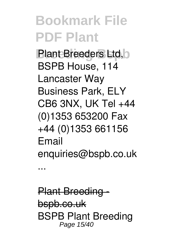**Plant Breeders Ltd, b** BSPB House, 114 Lancaster Way Business Park, ELY CB6 3NX, UK Tel +44 (0)1353 653200 Fax +44 (0)1353 661156 Email enquiries@bspb.co.uk

**Plant Breeding** bspb.co.uk BSPB Plant Breeding Page 15/40

...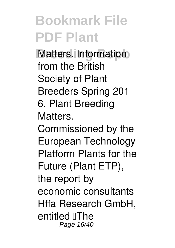**Matters. Information** from the British Society of Plant Breeders Spring 201 6. Plant Breeding Matters.

Commissioned by the European Technology Platform Plants for the Future (Plant ETP), the report by economic consultants Hffa Research GmbH, entitled **The** Page 16/40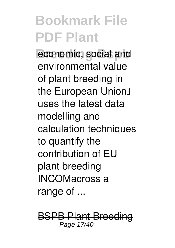economic, social and environmental value of plant breeding in the European Union uses the latest data modelling and calculation techniques to quantify the contribution of EU plant breeding INCOMacross a range of ...

BSPB Plant Bree Page 17/40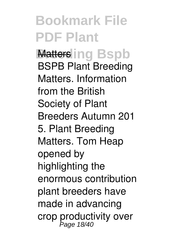**Bookmark File PDF Plant Matters ing Bspb** BSPB Plant Breeding Matters. Information from the British Society of Plant Breeders Autumn 201 5. Plant Breeding Matters. Tom Heap opened by highlighting the enormous contribution plant breeders have made in advancing crop productivity over Page 18/40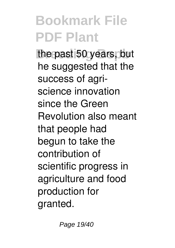the past 50 years, but he suggested that the success of agriscience innovation since the Green Revolution also meant that people had begun to take the contribution of scientific progress in agriculture and food production for granted.

Page 19/40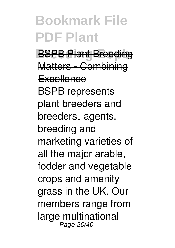**BSPB Plant Bree** Matters - Combinir **Excellence** BSPB represents plant breeders and breeders<sup>[]</sup> agents, breeding and marketing varieties of all the major arable, fodder and vegetable crops and amenity grass in the UK. Our members range from large multinational Page 20/40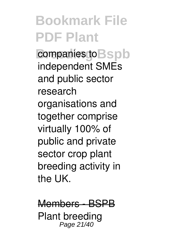companies to **B**spb independent SMEs and public sector research organisations and together comprise virtually 100% of public and private sector crop plant breeding activity in the UK.

Members - BSPB Plant breeding Page 21/40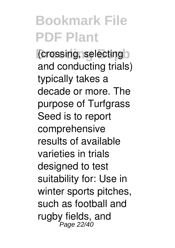*<u>Crossing</u>* selecting and conducting trials) typically takes a decade or more. The purpose of Turfgrass Seed is to report comprehensive results of available varieties in trials designed to test suitability for: Use in winter sports pitches, such as football and rugby fields, and Page 22/40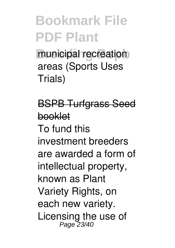municipal recreation areas (Sports Uses Trials)

BSPB Turfgrass Seed booklet To fund this investment breeders are awarded a form of intellectual property, known as Plant Variety Rights, on each new variety. Licensing the use of Page 23/40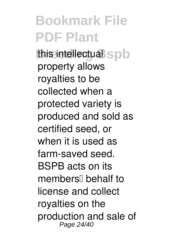this intellectual spb property allows royalties to be collected when a protected variety is produced and sold as certified seed, or when it is used as farm-saved seed. BSPB acts on its members<sup>[]</sup> behalf to license and collect royalties on the production and sale of Page 24/40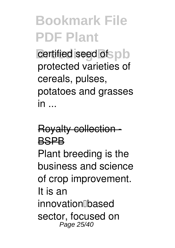**b** certified seed of **b** protected varieties of cereals, pulses, potatoes and grasses in .

### **Royalty collection** BSPB

Plant breeding is the business and science of crop improvement. It is an innovation<sub>□based</sub> sector, focused on Page 25/40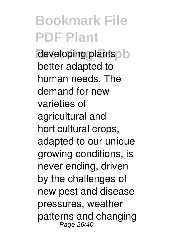developing plantsolo better adapted to human needs. The demand for new varieties of agricultural and horticultural crops, adapted to our unique growing conditions, is never ending, driven by the challenges of new pest and disease pressures, weather patterns and changing Page 26/40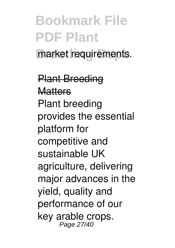### **Bookmark File PDF Plant** market requirements.

Plant Breeding **Mattors** Plant breeding provides the essential platform for competitive and sustainable UK agriculture, delivering major advances in the yield, quality and performance of our key arable crops. Page 27/40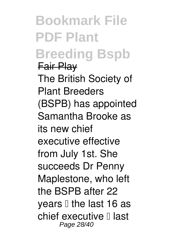### **Bookmark File PDF Plant Breeding Bspb** Fair Play

The British Society of Plant Breeders (BSPB) has appointed Samantha Brooke as its new chief executive effective from July 1st. She succeeds Dr Penny Maplestone, who left the BSPB after 22 years  $\Box$  the last 16 as chief executive  $\mathbb I$  last Page 28/40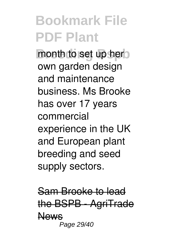**month to set up hero** own garden design and maintenance business. Ms Brooke has over 17 years commercial experience in the UK and European plant breeding and seed supply sectors.

Sam Brooke to lead BSPB - AgriTrade News Page 29/40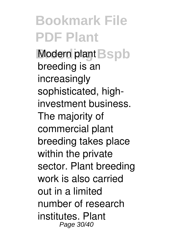**Modern plant Bspb** breeding is an increasingly sophisticated, highinvestment business. The majority of commercial plant breeding takes place within the private sector. Plant breeding work is also carried out in a limited number of research institutes. Plant Page 30/40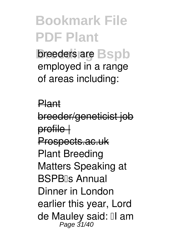**breeders are Bspb** employed in a range of areas including:

Plant breeder/geneticist i profile | Prospects.ac.uk Plant Breeding Matters Speaking at BSPB<sub>Is</sub> Annual Dinner in London earlier this year, Lord de Mauley said: Il am Page 31/40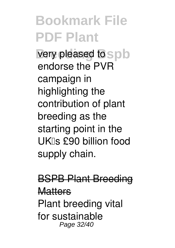**very pleased to spb** endorse the PVR campaign in highlighting the contribution of plant breeding as the starting point in the UK's £90 billion food supply chain.

### **BSPB Plant Bree**

#### **Matters**

Plant breeding vital for sustainable Page 32/40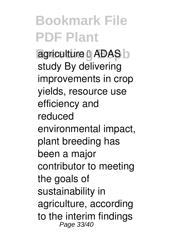**agriculture LADAS** study By delivering improvements in crop yields, resource use efficiency and reduced environmental impact, plant breeding has been a major contributor to meeting the goals of sustainability in agriculture, according to the interim findings Page 33/40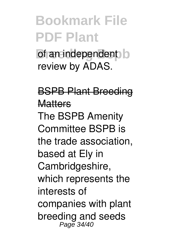**b** of an independent b review by ADAS.

BSPB Plant Breeding **Matters** The BSPB Amenity Committee BSPB is the trade association, based at Ely in Cambridgeshire, which represents the interests of companies with plant breeding and seeds Page 34/40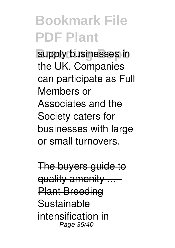supply businesses in the UK. Companies can participate as Full Members or Associates and the Society caters for businesses with large or small turnovers.

The buyers guid quality amenity Plant Breeding Sustainable intensification in Page 35/40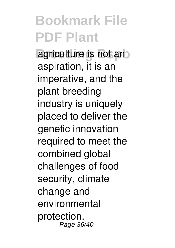**agriculture is not and** aspiration, it is an imperative, and the plant breeding industry is uniquely placed to deliver the genetic innovation required to meet the combined global challenges of food security, climate change and environmental protection. Page 36/40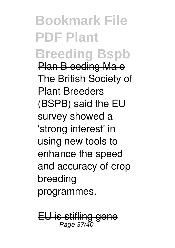**Bookmark File PDF Plant Breeding Bspb** Plan B eeding Ma e The British Society of Plant Breeders (BSPB) said the EU survey showed a 'strong interest' in using new tools to enhance the speed and accuracy of crop breeding programmes.

EU is stifling gene Page 37/40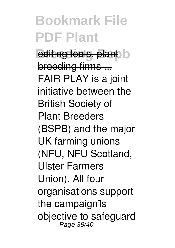*Breediting tools, plant* breeding firms ... FAIR PLAY is a joint initiative between the British Society of Plant Breeders (BSPB) and the major UK farming unions (NFU, NFU Scotland, Ulster Farmers Union). All four organisations support the campaign<sup>[15]</sup> objective to safeguard<br>Page 38/40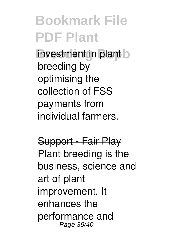**investment in plant** b breeding by optimising the collection of FSS payments from individual farmers.

#### Support - Fair Play

Plant breeding is the business, science and art of plant improvement. It enhances the performance and Page 39/40